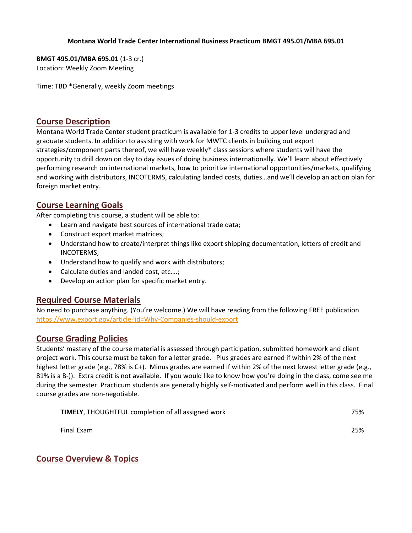#### **Montana World Trade Center International Business Practicum BMGT 495.01/MBA 695.01**

**BMGT 495.01/MBA 695.01** (1-3 cr.) Location: Weekly Zoom Meeting

Time: TBD \*Generally, weekly Zoom meetings

## **Course Description**

Montana World Trade Center student practicum is available for 1-3 credits to upper level undergrad and graduate students. In addition to assisting with work for MWTC clients in building out export strategies/component parts thereof, we will have weekly\* class sessions where students will have the opportunity to drill down on day to day issues of doing business internationally. We'll learn about effectively performing research on international markets, how to prioritize international opportunities/markets, qualifying and working with distributors, INCOTERMS, calculating landed costs, duties…and we'll develop an action plan for foreign market entry.

# **Course Learning Goals**

After completing this course, a student will be able to:

- Learn and navigate best sources of international trade data;
- Construct export market matrices;
- Understand how to create/interpret things like export shipping documentation, letters of credit and INCOTERMS;
- Understand how to qualify and work with distributors;
- Calculate duties and landed cost, etc....;
- Develop an action plan for specific market entry.

## **Required Course Materials**

No need to purchase anything. (You're welcome.) We will have reading from the following FREE publication <https://www.export.gov/article?id=Why-Companies-should-export>

## **Course Grading Policies**

Students' mastery of the course material is assessed through participation, submitted homework and client project work. This course must be taken for a letter grade. Plus grades are earned if within 2% of the next highest letter grade (e.g., 78% is C+). Minus grades are earned if within 2% of the next lowest letter grade (e.g., 81% is a B-)). Extra credit is not available. If you would like to know how you're doing in the class, come see me during the semester. Practicum students are generally highly self-motivated and perform well in this class. Final course grades are non-negotiable.

| <b>TIMELY, THOUGHTFUL completion of all assigned work</b> | 75% |
|-----------------------------------------------------------|-----|
| Final Exam                                                | 25% |

**Course Overview & Topics**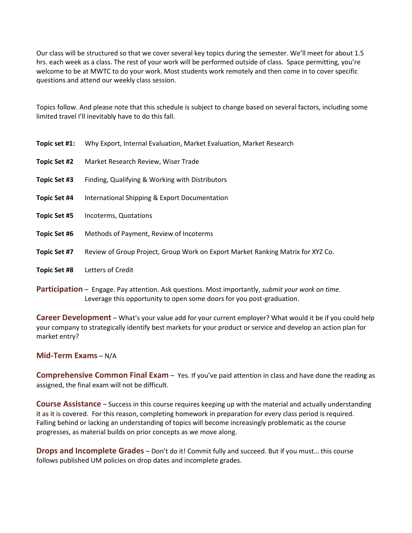Our class will be structured so that we cover several key topics during the semester. We'll meet for about 1.5 hrs. each week as a class. The rest of your work will be performed outside of class. Space permitting, you're welcome to be at MWTC to do your work. Most students work remotely and then come in to cover specific questions and attend our weekly class session.

Topics follow. And please note that this schedule is subject to change based on several factors, including some limited travel I'll inevitably have to do this fall.

| Topic set #1:       | Why Export, Internal Evaluation, Market Evaluation, Market Research             |
|---------------------|---------------------------------------------------------------------------------|
| Topic Set #2        | Market Research Review, Wiser Trade                                             |
| Topic Set #3        | Finding, Qualifying & Working with Distributors                                 |
| Topic Set #4        | International Shipping & Export Documentation                                   |
| <b>Topic Set #5</b> | Incoterms, Quotations                                                           |
| <b>Topic Set #6</b> | Methods of Payment, Review of Incoterms                                         |
| Topic Set #7        | Review of Group Project, Group Work on Export Market Ranking Matrix for XYZ Co. |
| <b>Topic Set #8</b> | Letters of Credit                                                               |
|                     |                                                                                 |

**Participation** – Engage. Pay attention. Ask questions. Most importantly, *submit your work on time.* Leverage this opportunity to open some doors for you post-graduation.

**Career Development** – What's your value add for your current employer? What would it be if you could help your company to strategically identify best markets for your product or service and develop an action plan for market entry?

#### **Mid-Term Exams** – N/A

**Comprehensive Common Final Exam** – Yes. If you've paid attention in class and have done the reading as assigned, the final exam will not be difficult.

**Course Assistance** – Success in this course requires keeping up with the material and actually understanding it as it is covered. For this reason, completing homework in preparation for every class period is required. Falling behind or lacking an understanding of topics will become increasingly problematic as the course progresses, as material builds on prior concepts as we move along.

**Drops and Incomplete Grades** – Don't do it! Commit fully and succeed. But if you must… this course follows published UM policies on drop dates and incomplete grades.